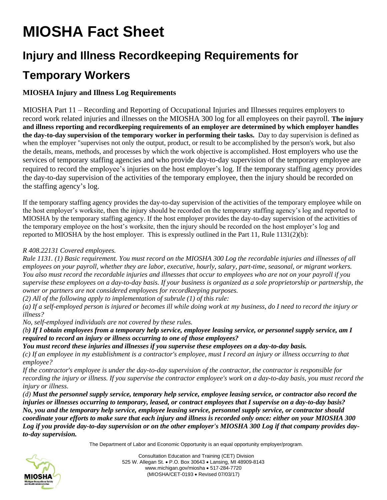# **MIOSHA Fact Sheet**

## **Injury and Illness Recordkeeping Requirements for**

### **Temporary Workers**

### **MIOSHA Injury and Illness Log Requirements**

MIOSHA Part 11 – Recording and Reporting of Occupational Injuries and Illnesses requires employers to record work related injuries and illnesses on the MIOSHA 300 log for all employees on their payroll. **The injury and illness reporting and recordkeeping requirements of an employer are determined by which employer handles the day-to-day supervision of the temporary worker in performing their tasks.** Day to day supervision is defined as when the employer "supervises not only the output, product, or result to be accomplished by the person's work, but also the details, means, methods, and processes by which the work objective is accomplished. Host employers who use the services of temporary staffing agencies and who provide day-to-day supervision of the temporary employee are required to record the employee's injuries on the host employer's log. If the temporary staffing agency provides the day-to-day supervision of the activities of the temporary employee, then the injury should be recorded on the staffing agency's log.

If the temporary staffing agency provides the day-to-day supervision of the activities of the temporary employee while on the host employer's worksite, then the injury should be recorded on the temporary staffing agency's log and reported to MIOSHA by the temporary staffing agency. If the host employer provides the day-to-day supervision of the activities of the temporary employee on the host's worksite, then the injury should be recorded on the host employer's log and reported to MIOSHA by the host employer. This is expressly outlined in the Part 11, Rule 1131(2)(b):

#### *R 408.22131 Covered employees.*

*Rule 1131. (1) Basic requirement. You must record on the MIOSHA 300 Log the recordable injuries and illnesses of all employees on your payroll, whether they are labor, executive, hourly, salary, part-time, seasonal, or migrant workers. You also must record the recordable injuries and illnesses that occur to employees who are not on your payroll if you supervise these employees on a day-to-day basis. If your business is organized as a sole proprietorship or partnership, the owner or partners are not considered employees for recordkeeping purposes.*

*(2) All of the following apply to implementation of subrule (1) of this rule:*

*(a) If a self-employed person is injured or becomes ill while doing work at my business, do I need to record the injury or illness?*

*No, self-employed individuals are not covered by these rules.*

*(b) If I obtain employees from a temporary help service, employee leasing service, or personnel supply service, am I required to record an injury or illness occurring to one of those employees?*

*You must record these injuries and illnesses if you supervise these employees on a day-to-day basis.*

*(c) If an employee in my establishment is a contractor's employee, must I record an injury or illness occurring to that employee?*

*If the contractor's employee is under the day-to-day supervision of the contractor, the contractor is responsible for recording the injury or illness. If you supervise the contractor employee's work on a day-to-day basis, you must record the injury or illness.*

*(d) Must the personnel supply service, temporary help service, employee leasing service, or contractor also record the injuries or illnesses occurring to temporary, leased, or contract employees that I supervise on a day-to-day basis? No, you and the temporary help service, employee leasing service, personnel supply service, or contractor should coordinate your efforts to make sure that each injury and illness is recorded only once: either on your MIOSHA 300 Log if you provide day-to-day supervision or on the other employer's MIOSHA 300 Log if that company provides dayto-day supervision.*

The Department of Labor and Economic Opportunity is an equal opportunity employer/program.



Consultation Education and Training (CET) Division 525 W. Allegan St. • P.O. Box 30643 • Lansing, MI 48909-8143 www.michigan.gov/miosha • 517-284-7720 (MIOSHA/CET-0193 • Revised 07/03/17)